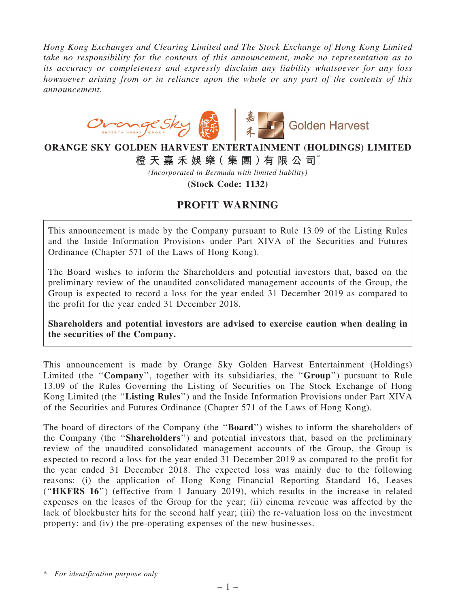Hong Kong Exchanges and Clearing Limited and The Stock Exchange of Hong Kong Limited take no responsibility for the contents of this announcement, make no representation as to its accuracy or completeness and expressly disclaim any liability whatsoever for any loss howsoever arising from or in reliance upon the whole or any part of the contents of this announcement.



## ORANGE SKY GOLDEN HARVEST ENTERTAINMENT (HOLDINGS) LIMITED 橙 天 嘉 禾 娛 樂( 集 團 )有 限 公 司\*

(Incorporated in Bermuda with limited liability)

(Stock Code: 1132)

## PROFIT WARNING

This announcement is made by the Company pursuant to Rule 13.09 of the Listing Rules and the Inside Information Provisions under Part XIVA of the Securities and Futures Ordinance (Chapter 571 of the Laws of Hong Kong).

The Board wishes to inform the Shareholders and potential investors that, based on the preliminary review of the unaudited consolidated management accounts of the Group, the Group is expected to record a loss for the year ended 31 December 2019 as compared to the profit for the year ended 31 December 2018.

Shareholders and potential investors are advised to exercise caution when dealing in the securities of the Company.

This announcement is made by Orange Sky Golden Harvest Entertainment (Holdings) Limited (the "Company", together with its subsidiaries, the "Group") pursuant to Rule 13.09 of the Rules Governing the Listing of Securities on The Stock Exchange of Hong Kong Limited (the ''Listing Rules'') and the Inside Information Provisions under Part XIVA of the Securities and Futures Ordinance (Chapter 571 of the Laws of Hong Kong).

The board of directors of the Company (the "**Board**") wishes to inform the shareholders of the Company (the ''Shareholders'') and potential investors that, based on the preliminary review of the unaudited consolidated management accounts of the Group, the Group is expected to record a loss for the year ended 31 December 2019 as compared to the profit for the year ended 31 December 2018. The expected loss was mainly due to the following reasons: (i) the application of Hong Kong Financial Reporting Standard 16, Leases (''HKFRS 16'') (effective from 1 January 2019), which results in the increase in related expenses on the leases of the Group for the year; (ii) cinema revenue was affected by the lack of blockbuster hits for the second half year; (iii) the re-valuation loss on the investment property; and (iv) the pre-operating expenses of the new businesses.

\* For identification purpose only